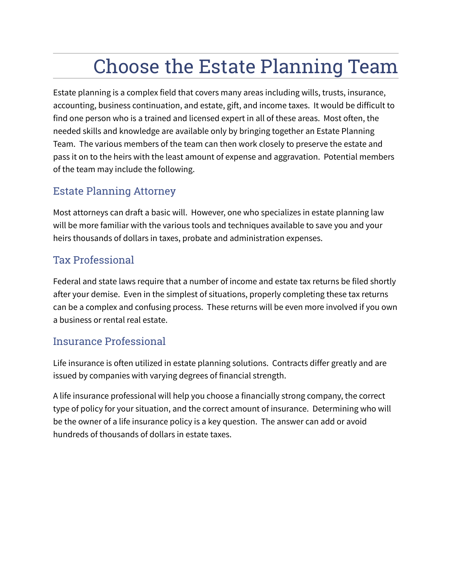# Choose the Estate Planning Team

Estate planning is a complex field that covers many areas including wills, trusts, insurance, accounting, business continuation, and estate, gift, and income taxes. It would be difficult to find one person who is a trained and licensed expert in all of these areas. Most often, the needed skills and knowledge are available only by bringing together an Estate Planning Team. The various members of the team can then work closely to preserve the estate and pass it on to the heirs with the least amount of expense and aggravation. Potential members of the team may include the following.

### Estate Planning Attorney

Most attorneys can draft a basic will. However, one who specializes in estate planning law will be more familiar with the various tools and techniques available to save you and your heirs thousands of dollars in taxes, probate and administration expenses.

### Tax Professional

Federal and state laws require that a number of income and estate tax returns be filed shortly after your demise. Even in the simplest of situations, properly completing these tax returns can be a complex and confusing process. These returns will be even more involved if you own a business or rental real estate.

#### Insurance Professional

Life insurance is often utilized in estate planning solutions. Contracts differ greatly and are issued by companies with varying degrees of financial strength.

A life insurance professional will help you choose a financially strong company, the correct type of policy for your situation, and the correct amount of insurance. Determining who will be the owner of a life insurance policy is a key question. The answer can add or avoid hundreds of thousands of dollars in estate taxes.